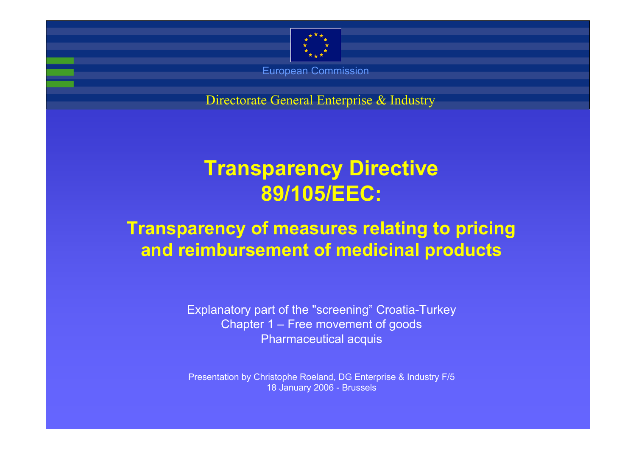

Directorate General Enterprise & Industry Directorate General Enterprise & Industry

# **Transparency Directive 89/105/EEC:**

# **Transparency of measures relating to pricing and reimbursement of medicinal products**

Explanatory part of the "screening" Croatia-Turkey Chapter 1 – Free movement of goods Pharmaceutical acquis

Presentation by Christophe Roeland, DG Enterprise & Industry F/5 18 January 2006 - Brussels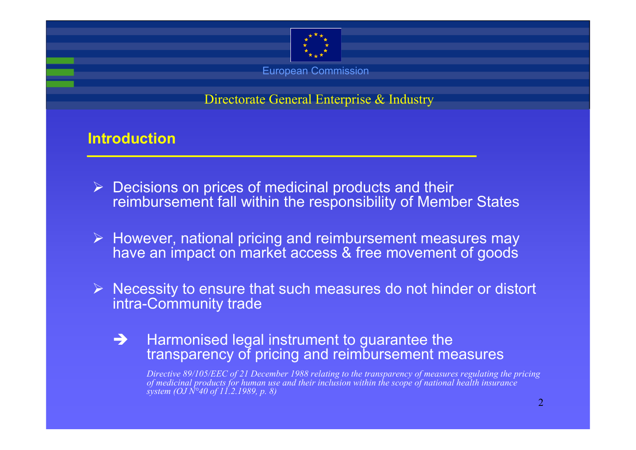

Directorate General Enterprise & Industry

# **Introduction**

- $\triangleright$  Decisions on prices of medicinal products and their reimbursement fall within the responsibility of Member States
- ¾ However, national pricing and reimbursement measures may have an impact on market access & free movement of goods
- $\triangleright$  Necessity to ensure that such measures do not hinder or distort intra-Community trade
	- $\rightarrow$  $\rightarrow$  Harmonised legal instrument to guarantee the transparency of pricing and reimbursement measures

*Directive 89/105/EEC of 21 December 1988 relating to the transparency of measures regulating the pricing of medicinal products for human use and their inclusion within the scope of national health insurance system (OJ N°40 of 11.2.1989, p. 8)*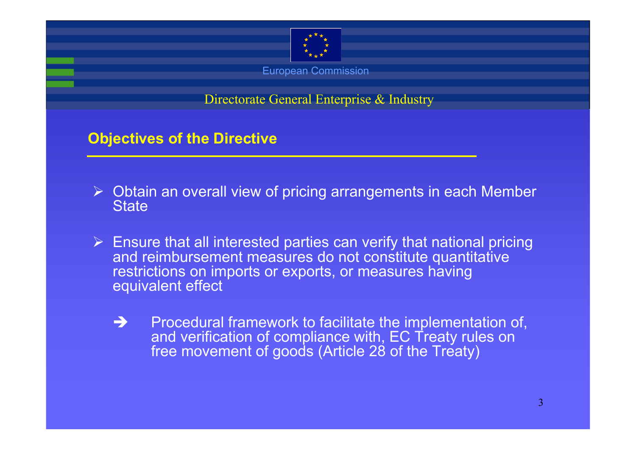

Directorate General Enterprise & Industry

# **Objectives of the Directive**

- ¾ Obtain an overall view of pricing arrangements in each Member **State**
- $\triangleright$  Ensure that all interested parties can verify that national pricing and reimbursement measures do not constitute quantitative restrictions on imports or exports, or measures having equivalent effect
	- $\rightarrow$  Procedural framework to facilitate the implementation of, and verification of compliance with, EC Treaty rules on free movement of goods (Article 28 of the Treaty)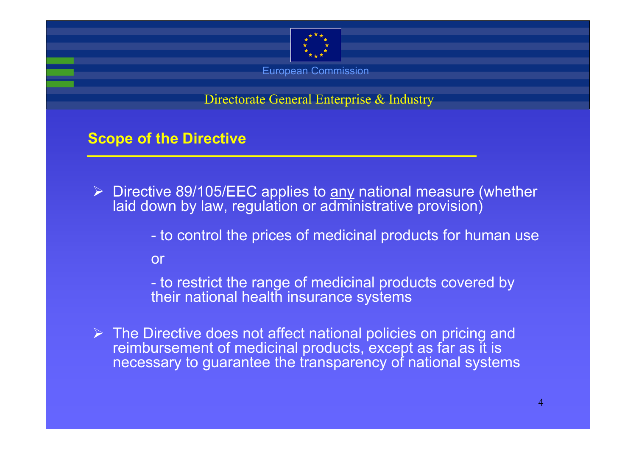

Directorate General Enterprise & Industry

# **Scope of the Directive**

- ▶ Directive 89/105/EEC applies to <u>any</u> national measure (whether laid down by law, regulation or administrative provision)
	- to control the prices of medicinal products for human use
	- or
	- to restrict the range of medicinal products covered by their national health insurance systems
- $\triangleright$  The Directive does not affect national policies on pricing and reimbursement of medicinal products, except as far as it is necessary to guarantee the transparency of national systems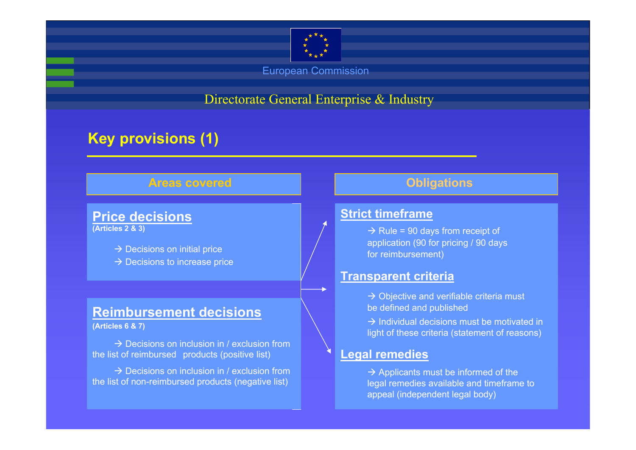

Directorate General Enterprise & Industry

# **Key provisions (1)**

### **Areas covered**

## **Price decisions**

**(Articles 2 & 3)**

- $\rightarrow$  Decisions on initial price
- $\rightarrow$  Decisions to increase price

### **Reimbursement decisions**

**(Articles 6 & 7)**

 $\rightarrow$  Decisions on inclusion in / exclusion from the list of reimbursed products (positive list)

 $\rightarrow$  Decisions on inclusion in / exclusion from the list of non-reimbursed products (negative list)

### **Obligations**

### **Strict timeframe**

 $\rightarrow$  Rule = 90 days from receipt of application (90 for pricing / 90 days for reimbursement)

### **Transparent criteria**

- $\rightarrow$  Objective and verifiable criteria must be defined and published
- $\rightarrow$  Individual decisions must be motivated in light of these criteria (statement of reasons)

### **Legal remedies**

 $\rightarrow$  Applicants must be informed of the legal remedies available and timeframe to appeal (independent legal body)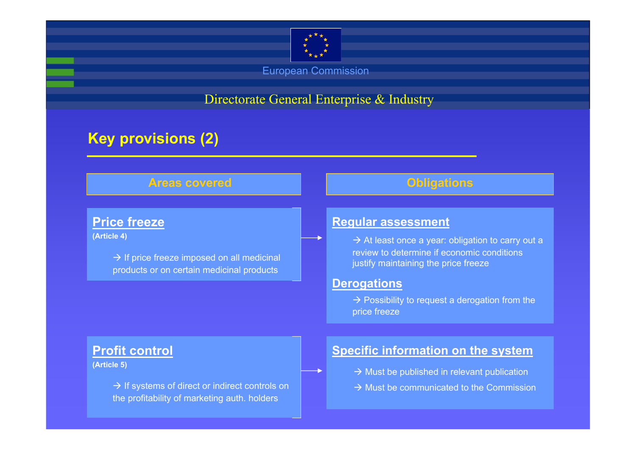

Directorate General Enterprise & Industry

# **Key provisions (2)**

### **Areas covered**

### **Price freeze**

**(Article 4)**

 $\rightarrow$  If price freeze imposed on all medicinal products or on certain medicinal products

# **Regular assessment**

 $\rightarrow$  At least once a year: obligation to carry out a review to determine if economic conditions justify maintaining the price freeze

**Obligations**

#### **Derogations**

 $\rightarrow$  Possibility to request a derogation from the price freeze

### **Profit control**

**(Article 5)**

 $\rightarrow$  If systems of direct or indirect controls on the profitability of marketing auth. holders

### **Specific information on the system**

- $\rightarrow$  Must be published in relevant publication
- $\rightarrow$  Must be communicated to the Commission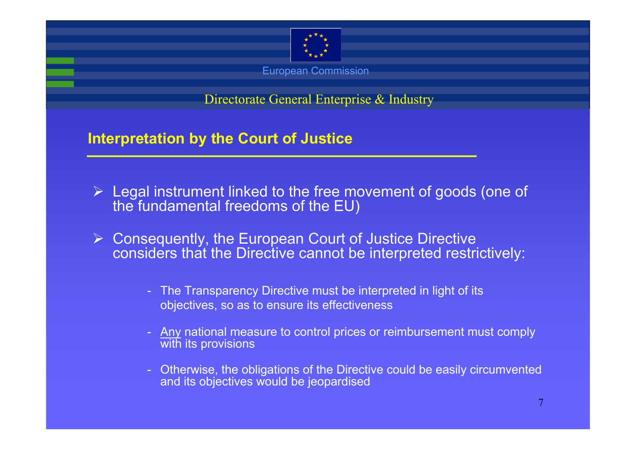

Directorate General Enterprise & Industry

**Interpretation by the Court of Justice**

- $\triangleright$  Legal instrument linked to the free movement of goods (one of the fundamental freedoms of the EU)
- $\triangleright$  Consequently, the European Court of Justice Directive considers that the Directive cannot be interpreted restrictively:
	- The Transparency Directive must be interpreted in light of its objectives, so as to ensure its effectiveness
	- Any national measure to control prices or reimbursement must comply with its provisions
	- Otherwise, the obligations of the Directive could be easily circumvented and its objectives would be jeopardised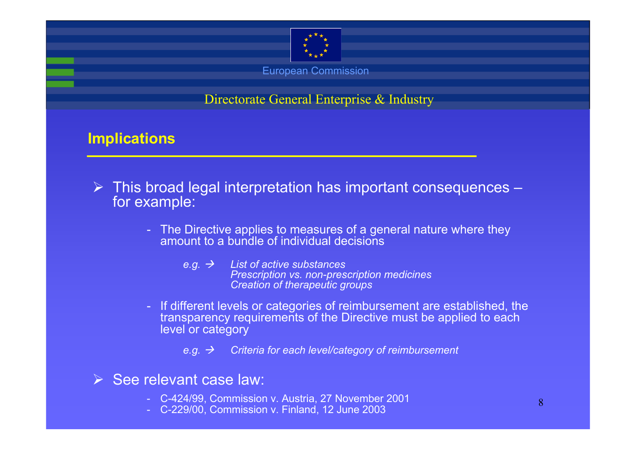

Directorate General Enterprise & Industry

## **Implications**

- $\triangleright$  This broad legal interpretation has important consequences  $$ for example:
	- The Directive applies to measures of a general nature where they amount to a bundle of individual decisions
		- $e.g. →$  *List of active substances Prescription vs. non-prescription medicines Creation of therapeutic groups*
	- If different levels or categories of reimbursement are established, the transparency requirements of the Directive must be applied to each level or category
		- *e.g. → Criteria for each level/category of reimbursement*
- $\triangleright$  See relevant case law:
	- C-424/99, Commission v. Austria, 27 November 2001
	- C-229/00, Commission v. Finland, 12 June 2003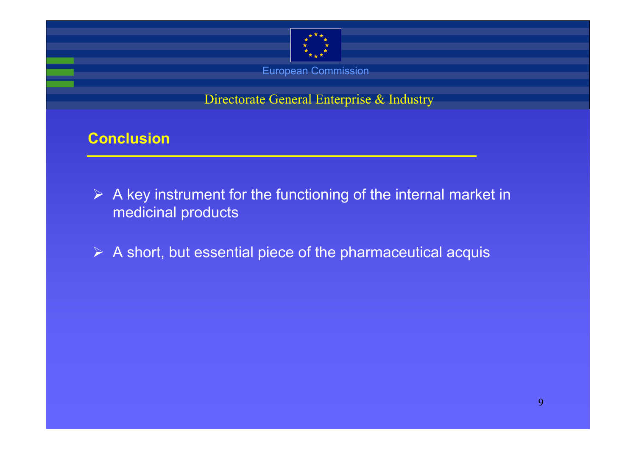

Directorate General Enterprise & Industry

# **Conclusion**

- $\triangleright$  A key instrument for the functioning of the internal market in medicinal products
- $\triangleright$  A short, but essential piece of the pharmaceutical acquis